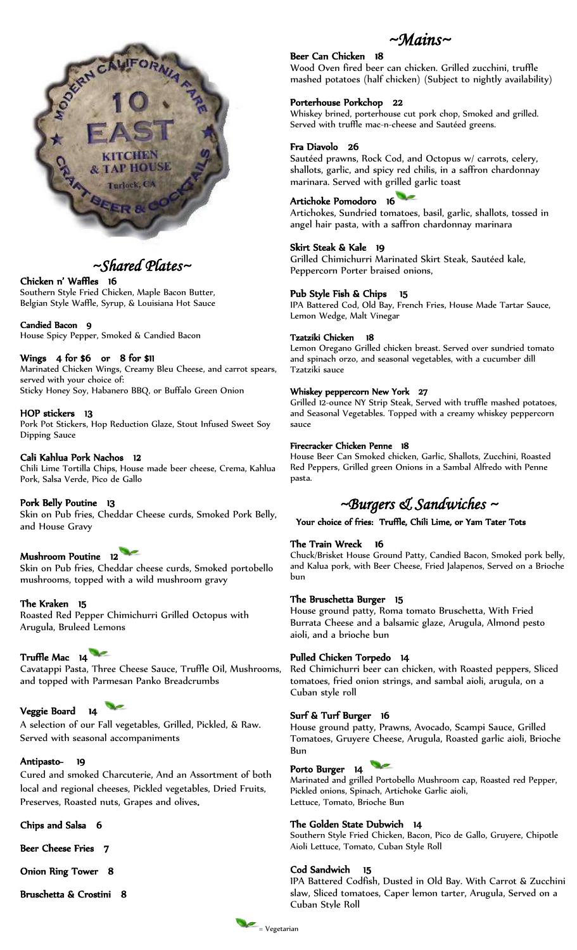

# *~Shared Plates~*

#### Chicken n' Waffles 16

Southern Style Fried Chicken, Maple Bacon Butter, Belgian Style Waffle, Syrup, & Louisiana Hot Sauce

#### Candied Bacon 9

House Spicy Pepper, Smoked & Candied Bacon

#### Wings 4 for \$6 or 8 for \$11

Marinated Chicken Wings, Creamy Bleu Cheese, and carrot spears, served with your choice of:

Sticky Honey Soy, Habanero BBQ, or Buffalo Green Onion

#### HOP stickers 13

Pork Pot Stickers, Hop Reduction Glaze, Stout Infused Sweet Soy Dipping Sauce

#### Cali Kahlua Pork Nachos 12

Chili Lime Tortilla Chips, House made beer cheese, Crema, Kahlua Pork, Salsa Verde, Pico de Gallo

#### Pork Belly Poutine 13

Skin on Pub fries, Cheddar Cheese curds, Smoked Pork Belly, and House Gravy

## Mushroom Poutine 12

Skin on Pub fries, Cheddar cheese curds, Smoked portobello mushrooms, topped with a wild mushroom gravy

#### The Kraken 15

Roasted Red Pepper Chimichurri Grilled Octopus with Arugula, Bruleed Lemons

## Truffle Mac 14

Cavatappi Pasta, Three Cheese Sauce, Truffle Oil, Mushrooms, and topped with Parmesan Panko Breadcrumbs

## Veggie Board 14

A selection of our Fall vegetables, Grilled, Pickled, & Raw. Served with seasonal accompaniments

#### Antipasto- 19

Cured and smoked Charcuterie, And an Assortment of both local and regional cheeses, Pickled vegetables, Dried Fruits, Preserves, Roasted nuts, Grapes and olives.

Chips and Salsa 6

Beer Cheese Fries 7

Onion Ring Tower 8

Bruschetta & Crostini 8

# Beer Can Chicken 18

Wood Oven fired beer can chicken. Grilled zucchini, truffle mashed potatoes (half chicken) (Subject to nightly availability)

 *~Mains~* 

#### Porterhouse Porkchop 22

Whiskey brined, porterhouse cut pork chop, Smoked and grilled. Served with truffle mac-n-cheese and Sautéed greens.

#### Fra Diavolo 26

Sautéed prawns, Rock Cod, and Octopus w/ carrots, celery, shallots, garlic, and spicy red chilis, in a saffron chardonnay marinara. Served with grilled garlic toast

### Artichoke Pomodoro 16

Artichokes, Sundried tomatoes, basil, garlic, shallots, tossed in angel hair pasta, with a saffron chardonnay marinara

### Skirt Steak & Kale 19

Grilled Chimichurri Marinated Skirt Steak, Sautéed kale, Peppercorn Porter braised onions,

#### Pub Style Fish & Chips 15

IPA Battered Cod, Old Bay, French Fries, House Made Tartar Sauce, Lemon Wedge, Malt Vinegar

#### Tzatziki Chicken 18

Lemon Oregano Grilled chicken breast. Served over sundried tomato and spinach orzo, and seasonal vegetables, with a cucumber dill Tzatziki sauce

#### Whiskey peppercorn New York 27

Grilled 12-ounce NY Strip Steak, Served with truffle mashed potatoes, and Seasonal Vegetables. Topped with a creamy whiskey peppercorn sauce

#### Firecracker Chicken Penne 18

House Beer Can Smoked chicken, Garlic, Shallots, Zucchini, Roasted Red Peppers, Grilled green Onions in a Sambal Alfredo with Penne pasta.

*~Burgers & Sandwiches ~* 

Your choice of fries: Truffle, Chili Lime, or Yam Tater Tots

#### The Train Wreck 16

Chuck/Brisket House Ground Patty, Candied Bacon, Smoked pork belly, and Kalua pork, with Beer Cheese, Fried Jalapenos, Served on a Brioche bun

#### The Bruschetta Burger 15

House ground patty, Roma tomato Bruschetta, With Fried Burrata Cheese and a balsamic glaze, Arugula, Almond pesto aioli, and a brioche bun

#### Pulled Chicken Torpedo 14

Red Chimichurri beer can chicken, with Roasted peppers, Sliced tomatoes, fried onion strings, and sambal aioli, arugula, on a Cuban style roll

#### Surf & Turf Burger 16

House ground patty, Prawns, Avocado, Scampi Sauce, Grilled Tomatoes, Gruyere Cheese, Arugula, Roasted garlic aioli, Brioche Bun

#### Porto Burger 14

Marinated and grilled Portobello Mushroom cap, Roasted red Pepper, Pickled onions, Spinach, Artichoke Garlic aioli, Lettuce, Tomato, Brioche Bun

#### The Golden State Dubwich 14

Southern Style Fried Chicken, Bacon, Pico de Gallo, Gruyere, Chipotle Aioli Lettuce, Tomato, Cuban Style Roll

#### Cod Sandwich 15

IPA Battered Codfish, Dusted in Old Bay. With Carrot & Zucchini slaw, Sliced tomatoes, Caper lemon tarter, Arugula, Served on a Cuban Style Roll